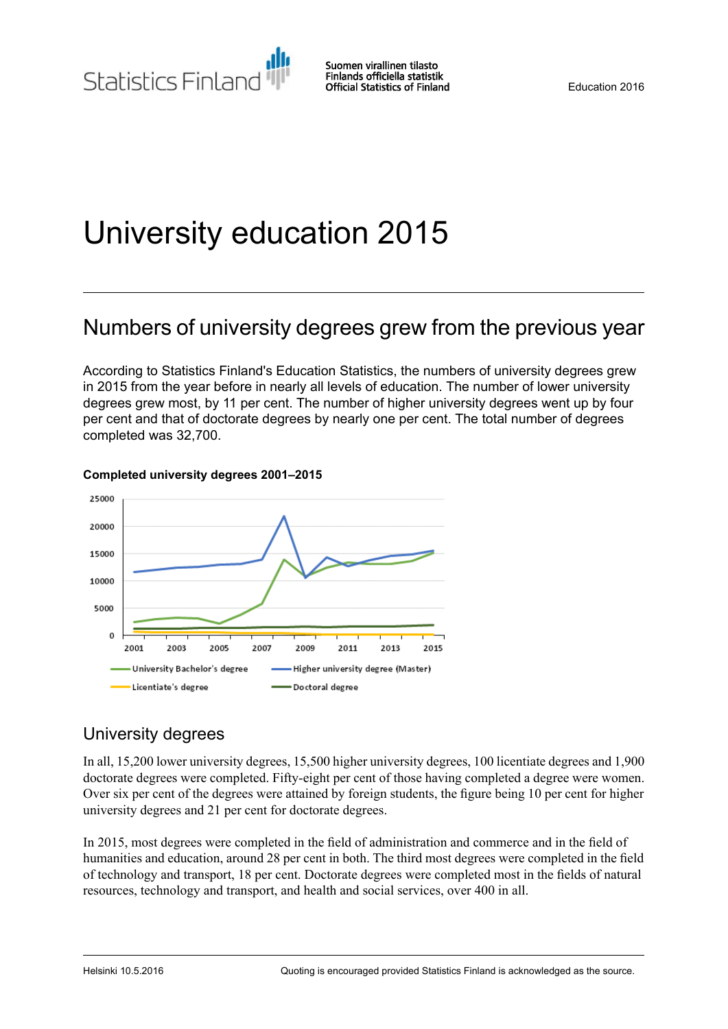# University education 2015

# Numbers of university degrees grew from the previous year

According to Statistics Finland's Education Statistics, the numbers of university degrees grew in 2015 from the year before in nearly all levels of education. The number of lower university degrees grew most, by 11 per cent. The number of higher university degrees went up by four per cent and that of doctorate degrees by nearly one per cent. The total number of degrees completed was 32,700.



### **Completed university degrees 2001–2015**

# University degrees

In all, 15,200 lower university degrees, 15,500 higher university degrees, 100 licentiate degrees and 1,900 doctorate degrees were completed. Fifty-eight per cent of those having completed a degree were women. Over six per cent of the degrees were attained by foreign students, the figure being 10 per cent for higher university degrees and 21 per cent for doctorate degrees.

In 2015, most degrees were completed in the field of administration and commerce and in the field of humanities and education, around 28 per cent in both. The third most degrees were completed in the field of technology and transport, 18 per cent. Doctorate degrees were completed most in the fields of natural resources, technology and transport, and health and social services, over 400 in all.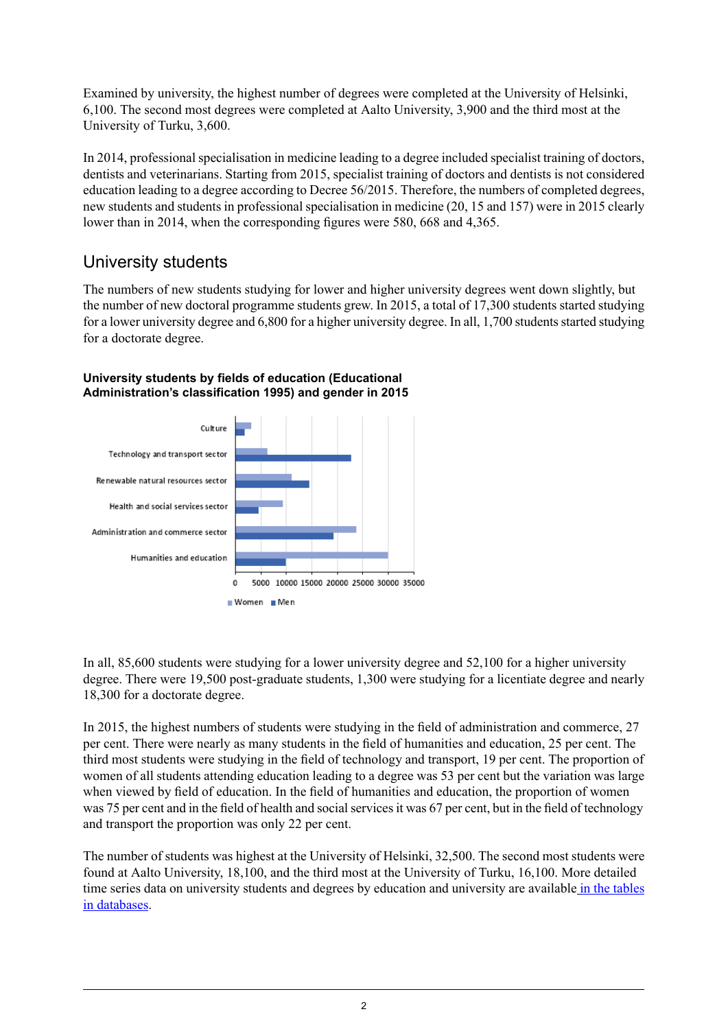Examined by university, the highest number of degrees were completed at the University of Helsinki, 6,100. The second most degrees were completed at Aalto University, 3,900 and the third most at the University of Turku, 3,600.

In 2014, professional specialisation in medicine leading to a degree included specialist training of doctors, dentists and veterinarians. Starting from 2015, specialist training of doctors and dentists is not considered education leading to a degree according to Decree 56/2015. Therefore, the numbers of completed degrees, new students and students in professional specialisation in medicine (20, 15 and 157) were in 2015 clearly lower than in 2014, when the corresponding figures were 580, 668 and 4,365.

# University students

The numbers of new students studying for lower and higher university degrees went down slightly, but the number of new doctoral programme students grew. In 2015, a total of 17,300 students started studying for a lower university degree and 6,800 for a higher university degree. In all, 1,700 students started studying for a doctorate degree.



### **University students by fields of education (Educational Administration's classification 1995) and gender in 2015**

In all, 85,600 students were studying for a lower university degree and 52,100 for a higher university degree. There were 19,500 post-graduate students, 1,300 were studying for a licentiate degree and nearly 18,300 for a doctorate degree.

In 2015, the highest numbers of students were studying in the field of administration and commerce, 27 per cent. There were nearly as many students in the field of humanities and education, 25 per cent. The third most students were studying in the field of technology and transport, 19 per cent. The proportion of women of all students attending education leading to a degree was 53 per cent but the variation was large when viewed by field of education. In the field of humanities and education, the proportion of women was 75 per cent and in the field of health and social services it was 67 per cent, but in the field of technology and transport the proportion was only 22 per cent.

The number of students was highest at the University of Helsinki, 32,500. The second most students were found at Aalto University, 18,100, and the third most at the University of Turku, 16,100. More detailed time series data on university students and degrees by education and university are available in the [tables](http://pxnet2.stat.fi/PXWeb/pxweb/en/StatFin/StatFin__kou__yop/?tablelist=true) in [databases](http://pxnet2.stat.fi/PXWeb/pxweb/en/StatFin/StatFin__kou__yop/?tablelist=true).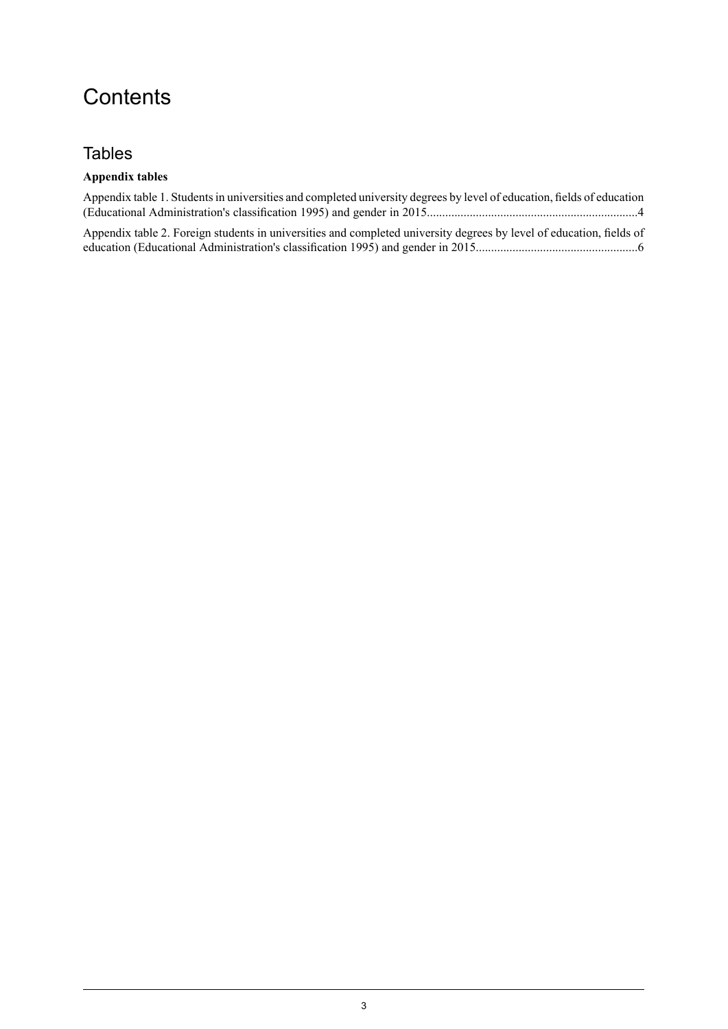# **Contents**

## Tables

#### **Appendix tables**

| Appendix table 1. Students in universities and completed university degrees by level of education, fields of education |  |
|------------------------------------------------------------------------------------------------------------------------|--|
|                                                                                                                        |  |

Appendix table 2. Foreign students in [universities](#page-5-0) and completed university degrees by level of education, fields of education (Educational Administration's classification 1995) and gender in [2015.....................................................6](#page-5-0)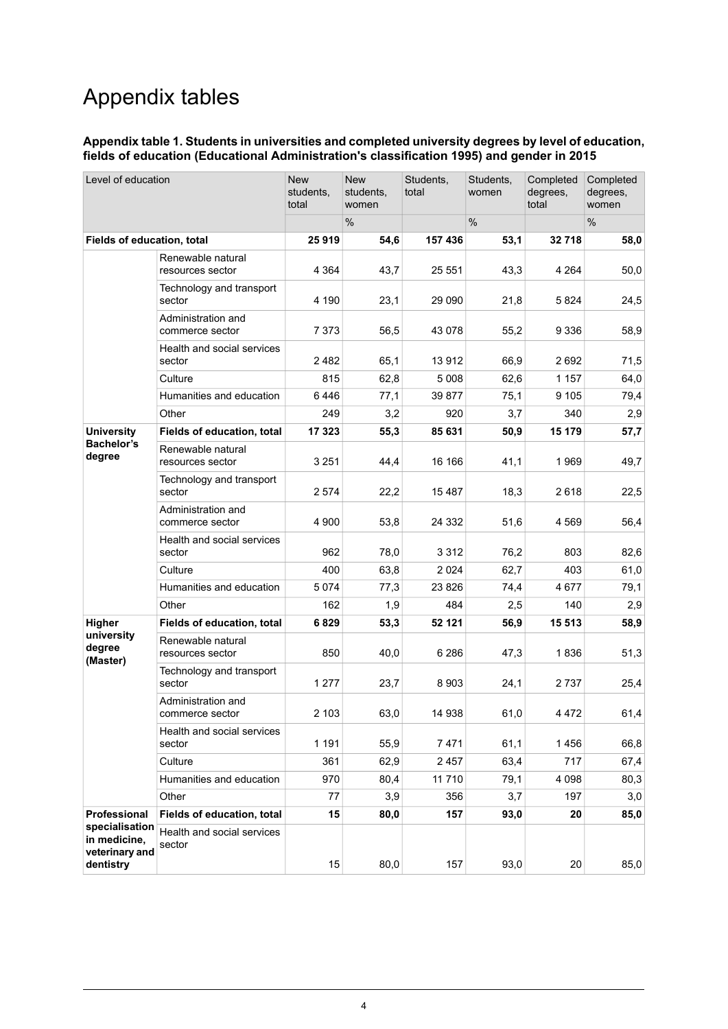# Appendix tables

#### <span id="page-3-0"></span>**Appendix table 1. Students in universities and completed university degrees by level of education, fields of education (Educational Administration's classification 1995) and gender in 2015**

| Level of education                                            |                                       | <b>New</b><br>students,<br>total | <b>New</b><br>students,<br>women | Students,<br>total | Students,<br>women | Completed<br>degrees,<br>total | Completed<br>degrees.<br>women |
|---------------------------------------------------------------|---------------------------------------|----------------------------------|----------------------------------|--------------------|--------------------|--------------------------------|--------------------------------|
|                                                               |                                       |                                  | %                                |                    | %                  |                                | %                              |
| Fields of education, total                                    |                                       | 25919                            | 54,6                             | 157 436            | 53,1               | 32 718                         | 58,0                           |
|                                                               | Renewable natural<br>resources sector | 4 3 64                           | 43,7                             | 25 551             | 43,3               | 4 2 6 4                        | 50,0                           |
|                                                               | Technology and transport<br>sector    | 4 190                            | 23,1                             | 29 090             | 21,8               | 5824                           | 24,5                           |
|                                                               | Administration and<br>commerce sector | 7 3 7 3                          | 56,5                             | 43 0 78            | 55,2               | 9 3 3 6                        | 58,9                           |
|                                                               | Health and social services<br>sector  | 2482                             | 65,1                             | 13912              | 66,9               | 2692                           | 71,5                           |
|                                                               | Culture                               | 815                              | 62,8                             | 5 0 0 8            | 62,6               | 1 157                          | 64,0                           |
|                                                               | Humanities and education              | 6446                             | 77,1                             | 39 877             | 75,1               | 9 1 0 5                        | 79,4                           |
|                                                               | Other                                 | 249                              | 3,2                              | 920                | 3,7                | 340                            | 2,9                            |
| <b>University</b>                                             | Fields of education, total            | 17 323                           | 55,3                             | 85 631             | 50,9               | 15 179                         | 57,7                           |
| <b>Bachelor's</b><br>degree                                   | Renewable natural<br>resources sector | 3 2 5 1                          | 44,4                             | 16 16 6            | 41,1               | 1969                           | 49,7                           |
|                                                               | Technology and transport<br>sector    | 2 5 7 4                          | 22,2                             | 15487              | 18,3               | 2618                           | 22,5                           |
|                                                               | Administration and<br>commerce sector | 4 900                            | 53,8                             | 24 3 32            | 51,6               | 4 5 6 9                        | 56,4                           |
|                                                               | Health and social services<br>sector  | 962                              | 78,0                             | 3 3 1 2            | 76,2               | 803                            | 82,6                           |
|                                                               | Culture                               | 400                              | 63,8                             | 2024               | 62,7               | 403                            | 61,0                           |
|                                                               | Humanities and education              | 5074                             | 77,3                             | 23 8 26            | 74,4               | 4677                           | 79,1                           |
|                                                               | Other                                 | 162                              | 1,9                              | 484                | 2,5                | 140                            | 2,9                            |
| Higher<br>university<br>degree<br>(Master)                    | Fields of education, total            | 6829                             | 53,3                             | 52 121             | 56,9               | 15 513                         | 58,9                           |
|                                                               | Renewable natural<br>resources sector | 850                              | 40,0                             | 6 2 8 6            | 47,3               | 1836                           | 51,3                           |
|                                                               | Technology and transport<br>sector    | 1 277                            | 23,7                             | 8903               | 24,1               | 2737                           | 25,4                           |
|                                                               | Administration and<br>commerce sector | 2 103                            | 63,0                             | 14 938             | 61,0               | 4 4 7 2                        | 61,4                           |
|                                                               | Health and social services<br>sector  | 1 1 9 1                          | 55,9                             | 7471               | 61,1               | 1456                           | 66,8                           |
|                                                               | Culture                               | 361                              | 62,9                             | 2457               | 63,4               | 717                            | 67,4                           |
|                                                               | Humanities and education              | 970                              | 80,4                             | 11 7 10            | 79,1               | 4 0 9 8                        | 80,3                           |
|                                                               | Other                                 | 77                               | 3,9                              | 356                | 3,7                | 197                            | 3,0                            |
| Professional                                                  | Fields of education, total            | 15                               | 80,0                             | 157                | 93,0               | 20                             | 85,0                           |
| specialisation<br>in medicine,<br>veterinary and<br>dentistry | Health and social services<br>sector  | 15                               | 80,0                             | 157                | 93,0               | 20                             | 85,0                           |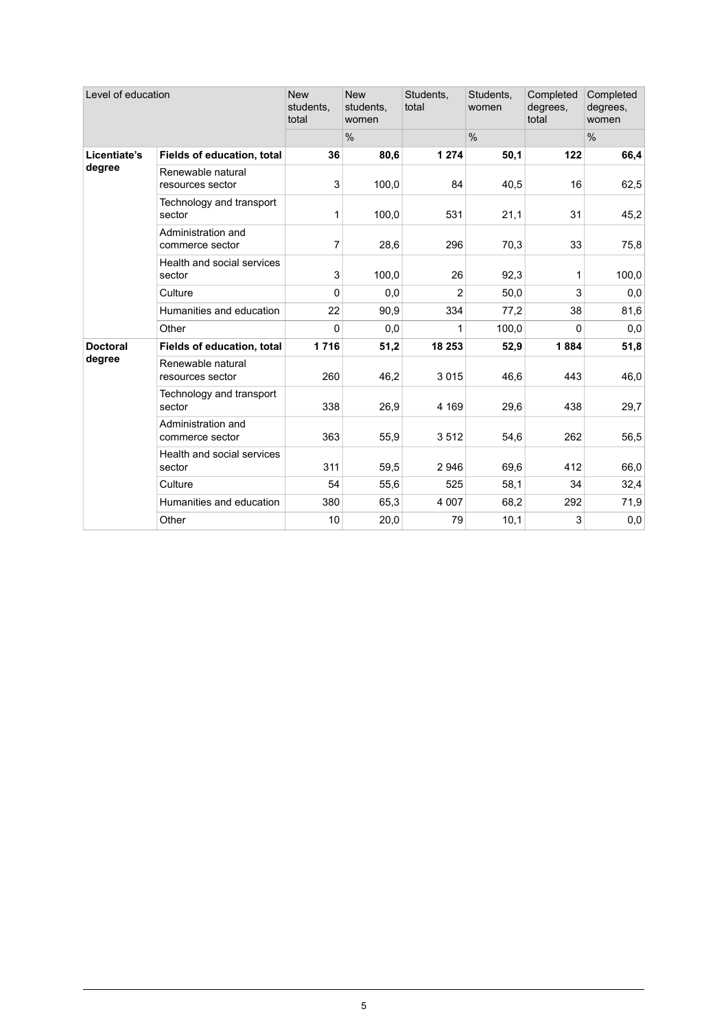| Level of education        |                                       | <b>New</b><br>students,<br>total | <b>New</b><br>students,<br>women | Students,<br>total | Students,<br>women | Completed<br>degrees,<br>total | Completed<br>degrees,<br>women |
|---------------------------|---------------------------------------|----------------------------------|----------------------------------|--------------------|--------------------|--------------------------------|--------------------------------|
|                           |                                       |                                  | $\frac{0}{0}$                    |                    | %                  |                                | %                              |
| Licentiate's              | Fields of education, total            | 36                               | 80,6                             | 1 2 7 4            | 50,1               | 122                            | 66,4                           |
| degree                    | Renewable natural<br>resources sector | 3                                | 100,0                            | 84                 | 40,5               | 16                             | 62,5                           |
|                           | Technology and transport<br>sector    | 1                                | 100,0                            | 531                | 21,1               | 31                             | 45,2                           |
|                           | Administration and<br>commerce sector | 7                                | 28,6                             | 296                | 70,3               | 33                             | 75,8                           |
|                           | Health and social services<br>sector  | 3                                | 100,0                            | 26                 | 92,3               | 1                              | 100,0                          |
|                           | Culture                               | 0                                | 0,0                              | $\overline{2}$     | 50,0               | 3                              | 0,0                            |
|                           | Humanities and education              | 22                               | 90,9                             | 334                | 77,2               | 38                             | 81,6                           |
|                           | Other                                 | 0                                | 0,0                              | 1                  | 100,0              | 0                              | 0,0                            |
| <b>Doctoral</b><br>degree | Fields of education, total            | 1716                             | 51,2                             | 18 253             | 52,9               | 1884                           | 51,8                           |
|                           | Renewable natural<br>resources sector | 260                              | 46,2                             | 3015               | 46,6               | 443                            | 46,0                           |
|                           | Technology and transport<br>sector    | 338                              | 26,9                             | 4 1 6 9            | 29,6               | 438                            | 29,7                           |
|                           | Administration and<br>commerce sector | 363                              | 55,9                             | 3512               | 54,6               | 262                            | 56,5                           |
|                           | Health and social services<br>sector  | 311                              | 59,5                             | 2946               | 69,6               | 412                            | 66,0                           |
|                           | Culture                               | 54                               | 55,6                             | 525                | 58,1               | 34                             | 32,4                           |
|                           | Humanities and education              | 380                              | 65,3                             | 4 0 0 7            | 68,2               | 292                            | 71,9                           |
|                           | Other                                 | 10                               | 20,0                             | 79                 | 10,1               | 3                              | 0,0                            |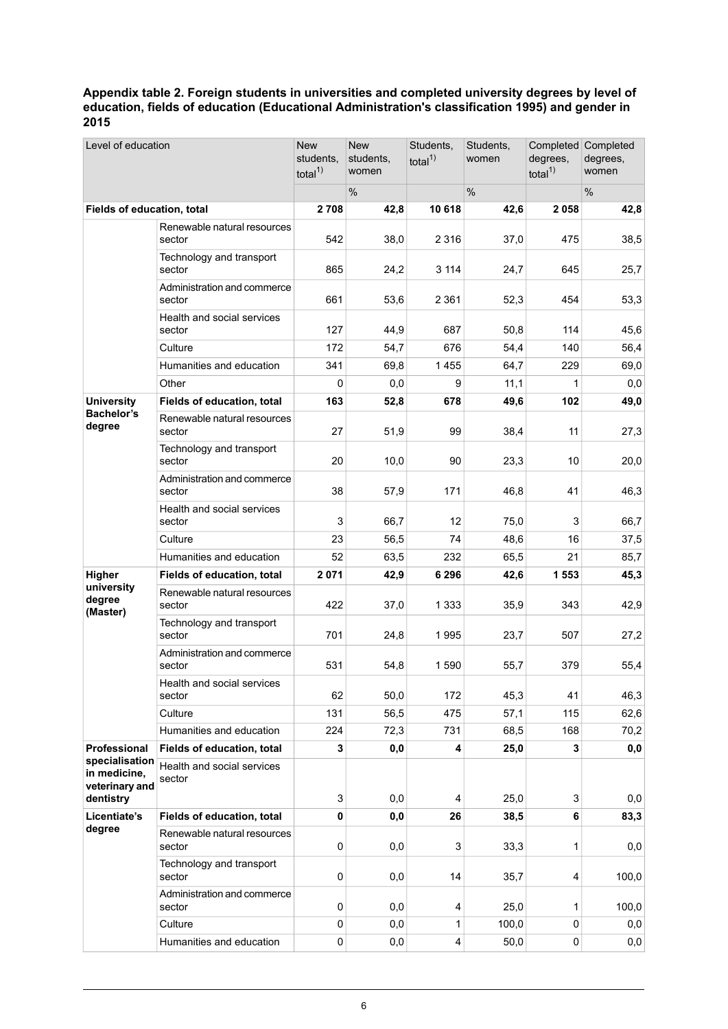#### <span id="page-5-0"></span>**Appendix table 2. Foreign students in universities and completed university degrees by level of education, fields of education (Educational Administration's classification 1995) and gender in 2015**

| Level of education                                            |                                       | <b>New</b><br>students.<br>total $1$ | <b>New</b><br>students,<br>women | Students,<br>total $1$  | Students,<br>women | Completed<br>degrees,<br>total $1$ | Completed<br>degrees,<br>women |
|---------------------------------------------------------------|---------------------------------------|--------------------------------------|----------------------------------|-------------------------|--------------------|------------------------------------|--------------------------------|
|                                                               |                                       |                                      | %                                |                         | %                  |                                    | %                              |
| Fields of education, total                                    |                                       | 2 7 0 8                              | 42,8                             | 10 618                  | 42,6               | 2 0 5 8                            | 42,8                           |
|                                                               | Renewable natural resources<br>sector | 542                                  | 38,0                             | 2 3 1 6                 | 37,0               | 475                                | 38,5                           |
|                                                               | Technology and transport<br>sector    | 865                                  | 24,2                             | 3 1 1 4                 | 24,7               | 645                                | 25,7                           |
|                                                               | Administration and commerce<br>sector | 661                                  | 53,6                             | 2 3 6 1                 | 52,3               | 454                                | 53,3                           |
|                                                               | Health and social services<br>sector  | 127                                  | 44,9                             | 687                     | 50,8               | 114                                | 45,6                           |
|                                                               | Culture                               | 172                                  | 54,7                             | 676                     | 54,4               | 140                                | 56,4                           |
|                                                               | Humanities and education              | 341                                  | 69,8                             | 1455                    | 64,7               | 229                                | 69,0                           |
|                                                               | Other                                 | 0                                    | 0,0                              | 9                       | 11,1               | 1                                  | 0,0                            |
| <b>University</b>                                             | Fields of education, total            | 163                                  | 52,8                             | 678                     | 49,6               | 102                                | 49,0                           |
| <b>Bachelor's</b><br>degree                                   | Renewable natural resources<br>sector | 27                                   | 51,9                             | 99                      | 38,4               | 11                                 | 27,3                           |
|                                                               | Technology and transport<br>sector    | 20                                   | 10,0                             | 90                      | 23,3               | 10                                 | 20,0                           |
|                                                               | Administration and commerce<br>sector | 38                                   | 57,9                             | 171                     | 46,8               | 41                                 | 46,3                           |
|                                                               | Health and social services<br>sector  | 3                                    | 66,7                             | 12                      | 75,0               | 3                                  | 66,7                           |
|                                                               | Culture                               | 23                                   | 56,5                             | 74                      | 48,6               | 16                                 | 37,5                           |
|                                                               | Humanities and education              | 52                                   | 63,5                             | 232                     | 65,5               | 21                                 | 85,7                           |
| Higher                                                        | Fields of education, total            | 2 0 7 1                              | 42,9                             | 6 2 9 6                 | 42,6               | 1 5 5 3                            | 45,3                           |
| university<br>degree<br>(Master)                              | Renewable natural resources<br>sector | 422                                  | 37,0                             | 1 3 3 3                 | 35,9               | 343                                | 42,9                           |
|                                                               | Technology and transport<br>sector    | 701                                  | 24,8                             | 1995                    | 23,7               | 507                                | 27,2                           |
|                                                               | Administration and commerce<br>sector | 531                                  | 54,8                             | 1590                    | 55,7               | 379                                | 55,4                           |
|                                                               | Health and social services<br>sector  | 62                                   | 50,0                             | 172                     | 45,3               | 41                                 | 46,3                           |
|                                                               | Culture                               | 131                                  | 56,5                             | 475                     | 57,1               | 115                                | 62,6                           |
|                                                               | Humanities and education              | 224                                  | 72,3                             | 731                     | 68,5               | 168                                | 70,2                           |
| Professional                                                  | Fields of education, total            | 3                                    | 0,0                              | 4                       | 25,0               | 3                                  | 0,0                            |
| specialisation<br>in medicine,<br>veterinary and<br>dentistry | Health and social services<br>sector  |                                      |                                  |                         |                    |                                    |                                |
|                                                               |                                       | 3<br>0                               | 0,0                              | 4                       | 25,0               | 3                                  | 0,0                            |
| Licentiate's<br>degree                                        | Fields of education, total            |                                      | 0,0                              | 26                      | 38,5               | 6                                  | 83,3                           |
|                                                               | Renewable natural resources<br>sector | 0                                    | 0,0                              | 3                       | 33,3               | 1                                  | 0,0                            |
|                                                               | Technology and transport<br>sector    | 0                                    | 0,0                              | 14                      | 35,7               | 4                                  | 100,0                          |
|                                                               | Administration and commerce<br>sector | $\pmb{0}$                            | 0,0                              | 4                       | 25,0               | 1                                  | 100,0                          |
|                                                               | Culture                               | 0                                    | 0,0                              | 1                       | 100,0              | 0                                  | 0,0                            |
|                                                               | Humanities and education              | $\mathsf 0$                          | 0,0                              | $\overline{\mathbf{4}}$ | 50,0               | $\mathbf 0$                        | 0,0                            |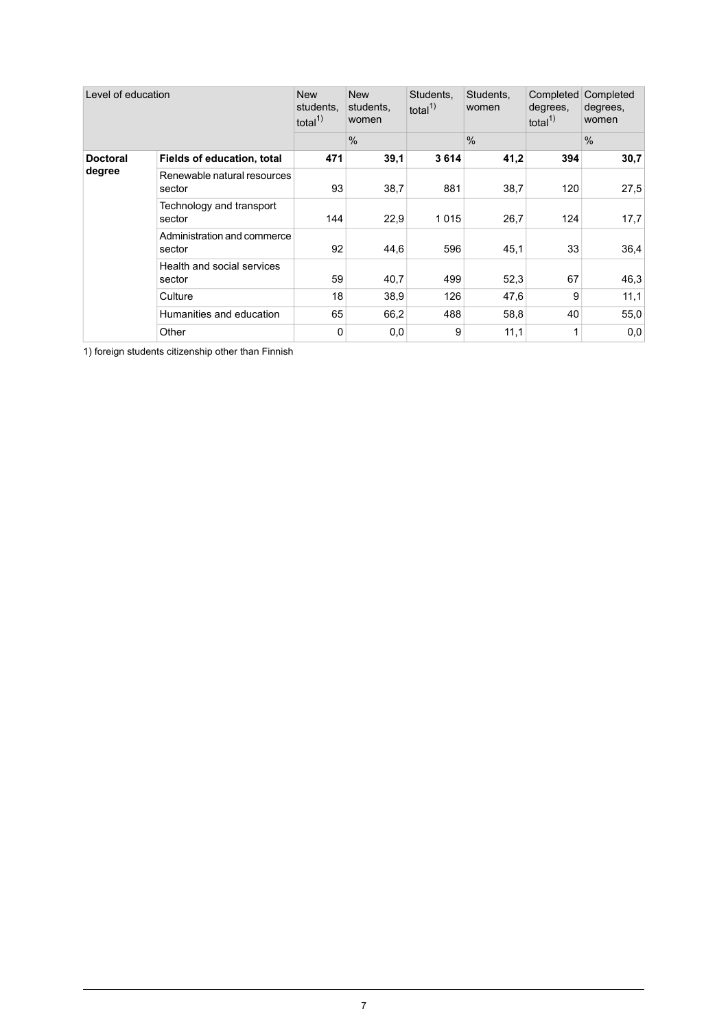| Level of education        |                                       | <b>New</b><br>students.<br>total $1$ | <b>New</b><br>students,<br>women | Students.<br>total $1$ | Students,<br>women | Completed<br>degrees,<br>total $1$ | Completed<br>degrees,<br>women |
|---------------------------|---------------------------------------|--------------------------------------|----------------------------------|------------------------|--------------------|------------------------------------|--------------------------------|
|                           |                                       |                                      | $\frac{0}{0}$                    |                        | $\frac{0}{0}$      |                                    | $\frac{0}{0}$                  |
| <b>Doctoral</b><br>degree | Fields of education, total            | 471                                  | 39,1                             | 3614                   | 41,2               | 394                                | 30,7                           |
|                           | Renewable natural resources<br>sector | 93                                   | 38,7                             | 881                    | 38,7               | 120                                | 27,5                           |
|                           | Technology and transport<br>sector    | 144                                  | 22,9                             | 1015                   | 26,7               | 124                                | 17.7                           |
|                           | Administration and commerce<br>sector | 92                                   | 44,6                             | 596                    | 45,1               | 33                                 | 36,4                           |
|                           | Health and social services<br>sector  | 59                                   | 40,7                             | 499                    | 52,3               | 67                                 | 46,3                           |
|                           | Culture                               | 18                                   | 38,9                             | 126                    | 47,6               | 9                                  | 11,1                           |
|                           | Humanities and education              | 65                                   | 66,2                             | 488                    | 58,8               | 40                                 | 55,0                           |
|                           | Other                                 | 0                                    | 0,0                              | 9                      | 11,1               | 1                                  | 0,0                            |

1) foreign students citizenship other than Finnish